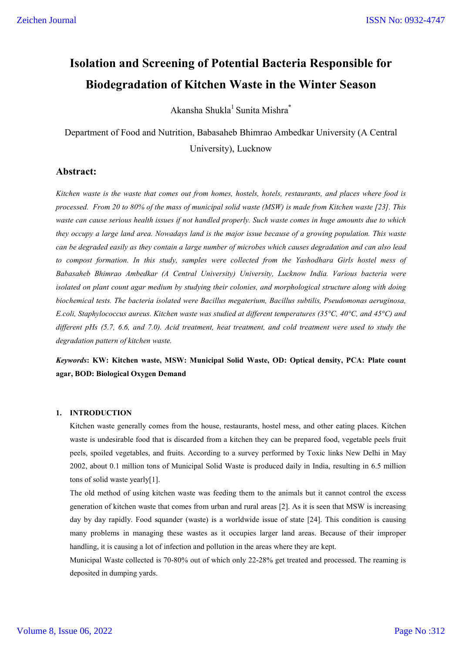# **Isolation and Screening of Potential Bacteria Responsible for Biodegradation of Kitchen Waste in the Winter Season**

Akansha Shukla<sup>1</sup> Sunita Mishra<sup>\*</sup>

Department of Food and Nutrition, Babasaheb Bhimrao Ambedkar University (A Central University), Lucknow

# **Abstract:**

*Kitchen waste is the waste that comes out from homes, hostels, hotels, restaurants, and places where food is processed. From 20 to 80% of the mass of municipal solid waste (MSW) is made from Kitchen waste [23]. This waste can cause serious health issues if not handled properly. Such waste comes in huge amounts due to which they occupy a large land area. Nowadays land is the major issue because of a growing population. This waste can be degraded easily as they contain a large number of microbes which causes degradation and can also lead to compost formation. In this study, samples were collected from the Yashodhara Girls hostel mess of Babasaheb Bhimrao Ambedkar (A Central University) University, Lucknow India. Various bacteria were isolated on plant count agar medium by studying their colonies, and morphological structure along with doing biochemical tests. The bacteria isolated were Bacillus megaterium, Bacillus subtilis, Pseudomonas aeruginosa, E.coli, Staphylococcus aureus. Kitchen waste was studied at different temperatures (35°C, 40°C, and 45°C) and different pHs (5.7, 6.6, and 7.0). Acid treatment, heat treatment, and cold treatment were used to study the degradation pattern of kitchen waste.*

*Keywords***: KW: Kitchen waste, MSW: Municipal Solid Waste, OD: Optical density, PCA: Plate count agar, BOD: Biological Oxygen Demand**

#### **1. INTRODUCTION**

Kitchen waste generally comes from the house, restaurants, hostel mess, and other eating places. Kitchen waste is undesirable food that is discarded from a kitchen they can be prepared food, vegetable peels fruit peels, spoiled vegetables, and fruits. According to a survey performed by Toxic links New Delhi in May 2002, about 0.1 million tons of Municipal Solid Waste is produced daily in India, resulting in 6.5 million tons of solid waste yearly[1].

The old method of using kitchen waste was feeding them to the animals but it cannot control the excess generation of kitchen waste that comes from urban and rural areas [2]. As it is seen that MSW is increasing day by day rapidly. Food squander (waste) is a worldwide issue of state [24]. This condition is causing many problems in managing these wastes as it occupies larger land areas. Because of their improper handling, it is causing a lot of infection and pollution in the areas where they are kept.

Municipal Waste collected is 70-80% out of which only 22-28% get treated and processed. The reaming is deposited in dumping yards.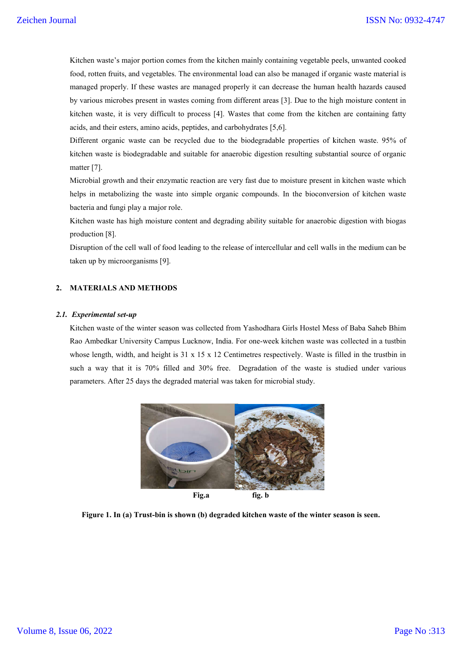Kitchen waste's major portion comes from the kitchen mainly containing vegetable peels, unwanted cooked food, rotten fruits, and vegetables. The environmental load can also b be managed if organic waste material is managed properly. If these wastes are managed properly it can decrease the human health hazards caused by various microbes present in wastes coming from different areas [3]. Due to the high moisture content in kitchen waste, it is very difficult to process [4]. Wastes that come from the kitchen are containing fatty acids, and their esters, amino acids, peptides, and carbohydrates [5,6]. Kitchen waste's major portion comes from the kitchen mainly containing vegetable peels, unwanted cooked food, rotten fruits, and vegetables. The environmental load can also be managed if organic waste material is managed p

Different organic waste can be recycled due to the biodegradable properties of kitchen waste. 95% of kitchen waste is biodegradable and suitable for anaerobic digestion resulting substantial source of organic matter [7].

Microbial growth and their enzymatic reaction are very fast due to moisture present in kitchen waste which helps in metabolizing the waste into simple organic compounds. In the bioconversion of kitchen waste bacteria and fungi play a major role.

Kitchen waste has high moisture content and degrading ability suitable for anaerobic digestion with biogas production [8]. in metabolizing<br>ria and fungi play<br>en waste has high<br>action [8].<br>ption of the cell v

Disruption of the cell wall of food leading to the release of intercellular and cell walls in the medium can be taken up by microorganisms [9].

# **2. MATERIALS AND METHODS**

#### *2.1. Experimental set-up*

Kitchen waste of the winter season was collected from Yashodhara Girls Hostel Mess of Baba Saheb Bhim Rao Ambedkar University Campus Lucknow, India. For one-week kitchen waste was collected in a tustbin whose length, width, and height is  $31 \times 15 \times 12$  Centimetres respectively. Waste is filled in the trustbin in such a way that it is  $70\%$  filled and  $30\%$  free. Degradation of the waste is studied under various parameters. After 25 days the degraded material was taken for microbial study. is is biodegradable and suitable for anaerobic digestion resulting substantial source of o<br>cowth and their enzymatic reaction are very fast due to moisture present in kitchen waste<br>tabolizing the waste into simple organic



Figure 1. In (a) Trust-bin is shown (b) degraded kitchen waste of the winter season is seen.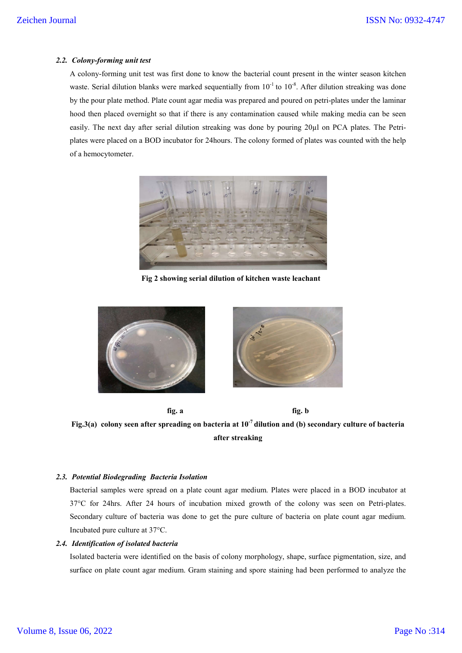## *2.2. Colony-forming unit test*

A colony-forming unit test was first done to know the bacterial count present in the winter season kitchen waste. Serial dilution blanks were marked sequentially from  $10^{-1}$  to  $10^{-8}$ . After dilution streaking was done by the pour plate method. Plate count agar media was prepared and poured on petri-plates under the laminar hood then placed overnight so that if there is any contamination caused while making media can be seen easily. The next day after serial dilution streaking was done by pouring 20µl on PCA plates. The Petriplates were placed on a BOD incubator for 24hours. The colony formed of plates was counted with the help of a hemocytometer.



**Fig 2 showing serial dilution of kitchen waste leachant**



**fig. a fig. b Fig.3(a) colony seen after spreading on bacteria at 10-7 dilution and (b) secondary culture of bacteria after streaking**

### *2.3. Potential Biodegrading Bacteria Isolation*

Bacterial samples were spread on a plate count agar medium. Plates were placed in a BOD incubator at 37°C for 24hrs. After 24 hours of incubation mixed growth of the colony was seen on Petri-plates. Secondary culture of bacteria was done to get the pure culture of bacteria on plate count agar medium. Incubated pure culture at 37°C.

## *2.4. Identification of isolated bacteria*

Isolated bacteria were identified on the basis of colony morphology, shape, surface pigmentation, size, and surface on plate count agar medium. Gram staining and spore staining had been performed to analyze the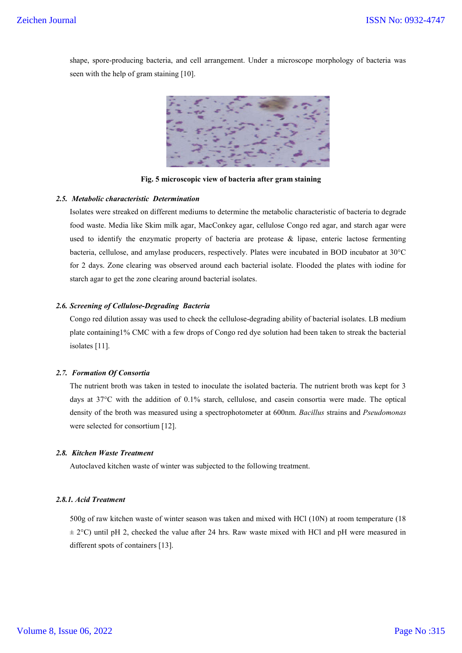shape, spore-producing bacteria, and cell arrangement. Under a microscope morphology of bacteria was seen with the help of gram staining [10].



**Fig. 5 microscopic view of bacteria after gram staining**

## *2.5. Metabolic characteristic Determination*

Isolates were streaked on different mediums to determine the metabolic characteristic of bacteria to degrade food waste. Media like Skim milk agar, MacConkey agar, cellulose Congo red agar, and starch agar were used to identify the enzymatic property of bacteria are protease & lipase, enteric lactose fermenting bacteria, cellulose, and amylase producers, respectively. Plates were incubated in BOD incubator at 30°C for 2 days. Zone clearing was observed around each bacterial isolate. Flooded the plates with iodine for starch agar to get the zone clearing around bacterial isolates.

#### *2.6. Screening of Cellulose-Degrading Bacteria*

Congo red dilution assay was used to check the cellulose-degrading ability of bacterial isolates. LB medium plate containing1% CMC with a few drops of Congo red dye solution had been taken to streak the bacterial isolates [11].

# *2.7. Formation Of Consortia*

The nutrient broth was taken in tested to inoculate the isolated bacteria. The nutrient broth was kept for 3 days at 37°C with the addition of 0.1% starch, cellulose, and casein consortia were made. The optical density of the broth was measured using a spectrophotometer at 600nm. *Bacillus* strains and *Pseudomonas* were selected for consortium [12].

# *2.8. Kitchen Waste Treatment*

Autoclaved kitchen waste of winter was subjected to the following treatment.

## *2.8.1. Acid Treatment*

500g of raw kitchen waste of winter season was taken and mixed with HCl (10N) at room temperature (18  $\pm$  2°C) until pH 2, checked the value after 24 hrs. Raw waste mixed with HCl and pH were measured in different spots of containers [13].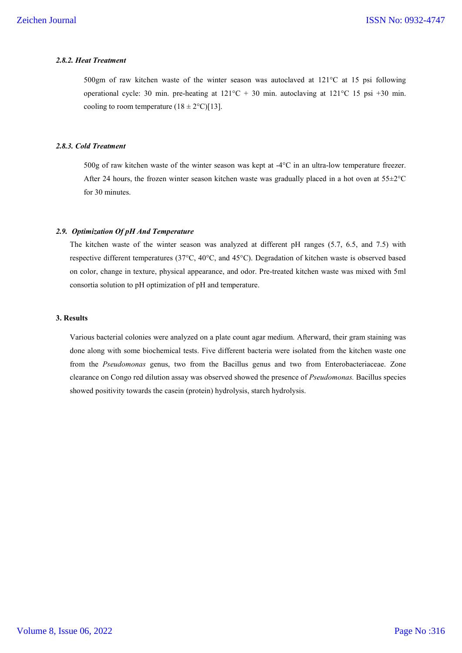## *2.8.2. Heat Treatment*

500gm of raw kitchen waste of the winter season was autoclaved at 121°C at 15 psi following operational cycle: 30 min. pre-heating at 121°C + 30 min. autoclaving at 121°C 15 psi +30 min. cooling to room temperature  $(18 \pm 2^{\circ}\text{C})$ [13].

#### *2.8.3. Cold Treatment*

500g of raw kitchen waste of the winter season was kept at -4°C in an ultra-low temperature freezer. After 24 hours, the frozen winter season kitchen waste was gradually placed in a hot oven at 55±2°C for 30 minutes.

#### *2.9. Optimization Of pH And Temperature*

The kitchen waste of the winter season was analyzed at different pH ranges (5.7, 6.5, and 7.5) with respective different temperatures (37°C, 40°C, and 45°C). Degradation of kitchen waste is observed based on color, change in texture, physical appearance, and odor. Pre-treated kitchen waste was mixed with 5ml consortia solution to pH optimization of pH and temperature.

# **3. Results**

Various bacterial colonies were analyzed on a plate count agar medium. Afterward, their gram staining was done along with some biochemical tests. Five different bacteria were isolated from the kitchen waste one from the *Pseudomonas* genus, two from the Bacillus genus and two from Enterobacteriaceae. Zone clearance on Congo red dilution assay was observed showed the presence of *Pseudomonas.* Bacillus species showed positivity towards the casein (protein) hydrolysis, starch hydrolysis.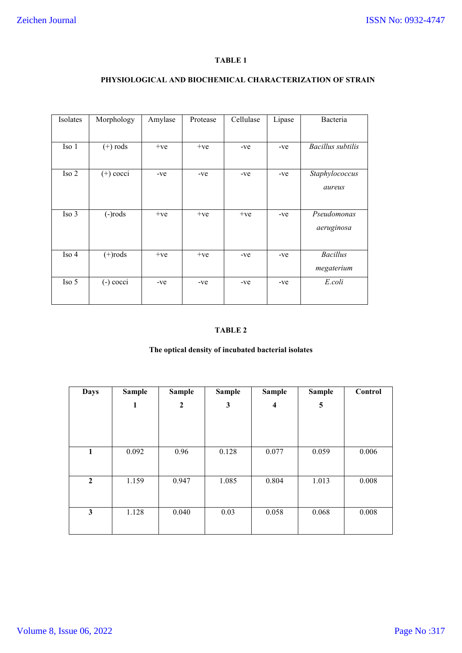# **TABLE 1**

# **PHYSIOLOGICAL AND BIOCHEMICAL CHARACTERIZATION OF STRAIN**

| Isolates | Morphology  | Amylase | Protease | Cellulase | Lipase | Bacteria                      |
|----------|-------------|---------|----------|-----------|--------|-------------------------------|
|          |             |         |          |           |        |                               |
| Iso 1    | $(+)$ rods  | $+ve$   | $+ve$    | $-ve$     | -ve    | <b>Bacillus</b> subtilis      |
| Iso 2    | $(+)$ cocci | -ve     | $-ve$    | -ve       | $-ve$  | Staphylococcus<br>aureus      |
| Iso 3    | $(-)$ rods  | $+ve$   | $+ve$    | $+ve$     | -ve    | Pseudomonas<br>aeruginosa     |
| Iso 4    | $(+)$ rods  | $+ve$   | $+ve$    | -ve       | -ve    | <b>Bacillus</b><br>megaterium |
| Iso 5    | $(-)$ cocci | $-ve$   | $-ve$    | $-ve$     | $-ve$  | E.coli                        |

# **TABLE 2**

# **The optical density of incubated bacterial isolates**

| <b>Days</b>      | <b>Sample</b> | <b>Sample</b>    | <b>Sample</b> | <b>Sample</b> | <b>Sample</b> | Control |
|------------------|---------------|------------------|---------------|---------------|---------------|---------|
|                  | 1             | $\boldsymbol{2}$ | 3             | 4             | 5             |         |
|                  |               |                  |               |               |               |         |
|                  |               |                  |               |               |               |         |
| 1                | 0.092         | 0.96             | 0.128         | 0.077         | 0.059         | 0.006   |
|                  |               |                  |               |               |               |         |
| $\boldsymbol{2}$ | 1.159         | 0.947            | 1.085         | 0.804         | 1.013         | 0.008   |
|                  |               |                  |               |               |               |         |
| $\mathbf{3}$     | 1.128         | 0.040            | 0.03          | 0.058         | 0.068         | 0.008   |
|                  |               |                  |               |               |               |         |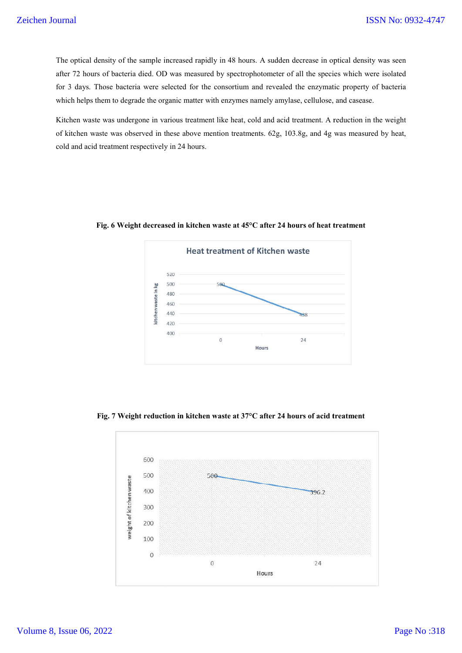The optical density of the sample increased rapidly in 48 hours. A sudden decrease in optical density was seen after 72 hours of bacteria died. OD was measured by spectrophotometer of all the species which were isolated for 3 days. Those bacteria were selected for the consortium and revealed the enzymatic property of bacteria which helps them to degrade the organic matter with enzymes namely amylase, cellulose, and casease. is y of the sample increased rapidly in 48 hours. A sudden decrease in optical density was seen<br>bacteria died. OD was measured by spectrophotometer of all the species which were isolated<br>beacteria were selected for the con

Kitchen waste was undergone in various treatment like heat, cold and acid treatment. A reduction in the weight of kitchen waste was observed in these above mention treatments. 62g, 103.8g, and 4g was measured by heat, cold and acid treatment respectively in 24 hours. 3 days. Those bacteria were selected for the consortium and revealed the enzymatic property of ich helps them to degrade the organic matter with enzymes namely amylase, cellulose, and casease.<br>
tchen waste was undergone in



**Fig. 6 Weight decreased in kitchen waste at 45°C after 24 hours of heat treatment**

**Fig. 7 Weight reduction in kitchen waste at 37°C after 24 hours of acid treatment**

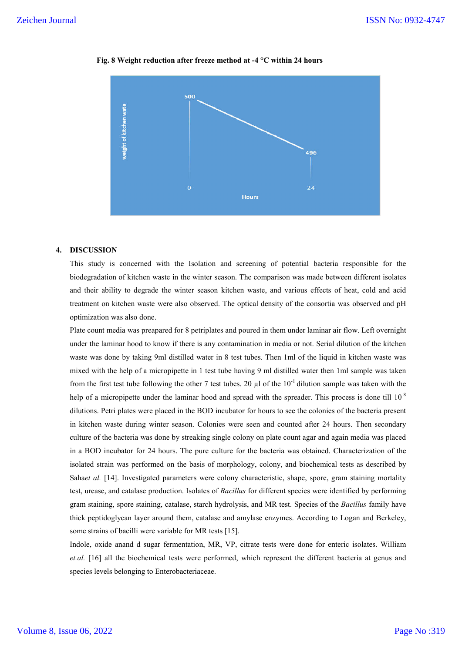

#### **Fig. 8 Weight reduction after freeze method at -4 °C within 24 hours**

# **4. DISCUSSION**

This study is concerned with the Isolation and screening of potential bacteria responsible for the biodegradation of kitchen waste in the winter season. The comparison was made between different isolates and their ability to degrade the winter season kitchen waste, and various effects of heat, cold and acid treatment on kitchen waste were also observed. The optical density of the consortia was observed and pH optimization was also done. study is concerned with the Isolation and screening of potential bacteria responsible for the gradation of kitchen waste in the winter season. The comparison was made between different isolates eir ability to degrade the w

Plate count media was preapared for 8 petriplates and poured in them under laminar air flow. Left overnight under the laminar hood to know if there is any contamination in media or not. Serial dilution of the kitchen waste was done by taking 9ml distilled water in 8 test tubes. Then 1ml of the liquid in kitchen waste was mixed with the help of a micropipette in 1 test tube having 9 ml distilled water then 1ml sample was taken from the first test tube following the other 7 test tubes. 20  $\mu$ l of the 10<sup>-1</sup> dilution sample was taken with the help of a micropipette under the laminar hood and spread with the spreader. This process is done till  $10^{-8}$ dilutions. Petri plates were placed in the BOD incubator for hours to see the colonies of the bacteria present in kitchen waste during winter season. Colonies were seen and counted after 24 hours. Then secondary culture of the bacteria was done by streaking single colony on plate count agar and again media was placed in a BOD incubator for 24 hours. The pure culture for the bacteria was obtained. Characterization of the isolated strain was performed on the basis of morphology, colony, and biochemical tests as described by Sahaet al. [14]. Investigated parameters were colony characteristic, shape, spore, gram staining mortality test, urease, and catalase production. Isolates of *Bacillus* for different species were identified by performing gram staining, spore staining, catalase, starch hydrolysis, and MR test. Species of the Bacillus family have thick peptidoglycan layer around them, catalase and amylase enzymes. According to Logan and Berkeley, some strains of bacilli were variable for MR tests [15]. mixed with the help of a micropipette in 1 test tube having 9 ml distilled water then 1ml sample was taken from the first test tube following the other 7 test tubes. 20  $\mu$ l of the 10<sup>-1</sup> dilution sample was taken with t s. Petri plates were placed in the BOD incubator for hours to see the colonies of the bacteria present<br>en waste during winter season. Colonies were seen and counted after 24 hours. Then secondary<br>of the bacteria was done b ISSN No: 0932-4747<br>
eria responsible for the<br>
eria responsible for the<br>
etween different isolates<br>
so f heat, cold and acid<br>
tia was observed and pH<br>
r air flow. Left overnight<br>
al dilution of the kitchen<br>
uid in kitchen

Indole, oxide anand d sugar fermentation, MR, VP, citrate tests were done for enteric isolates. William et.al. [16] all the biochemical tests were performed, which represent the different bacteria at genus and species levels belonging to Enterobacteriaceae.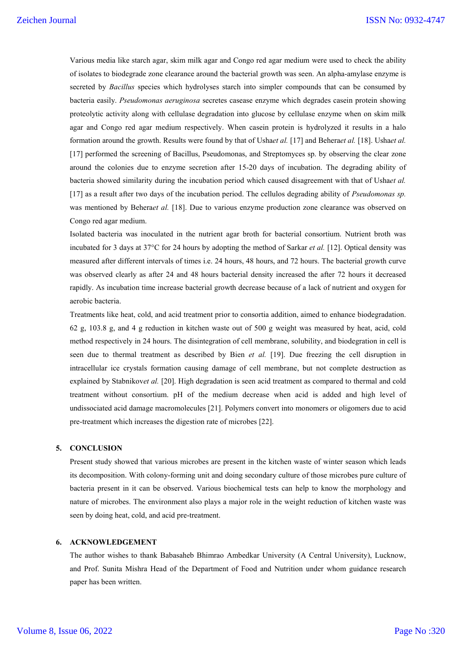Various media like starch agar, skim milk agar and Congo red agar medium were used to check the ability of isolates to biodegrade zone clearance around the bacterial growth was seen. An alpha-amylase enzyme is secreted by *Bacillus* species which hydrolyses starch into simpler compounds that can be consumed by bacteria easily. *Pseudomonas aeruginosa* secretes casease enzyme which degrades casein protein showing proteolytic activity along with cellulase degradation into glucose by cellulase enzyme when on skim milk agar and Congo red agar medium respectively. When casein protein is hydrolyzed it results in a halo formation around the growth. Results were found by that of Usha*et al.* [17] and Behera*et al.* [18]. Usha*et al.* [17] performed the screening of Bacillus, Pseudomonas, and Streptomyces sp. by observing the clear zone around the colonies due to enzyme secretion after 15-20 days of incubation. The degrading ability of bacteria showed similarity during the incubation period which caused disagreement with that of Usha*et al.*  [17] as a result after two days of the incubation period. The cellulos degrading ability of *Pseudomonas sp.*  was mentioned by Behera*et al.* [18]. Due to various enzyme production zone clearance was observed on Congo red agar medium.

Isolated bacteria was inoculated in the nutrient agar broth for bacterial consortium. Nutrient broth was incubated for 3 days at 37°C for 24 hours by adopting the method of Sarkar *et al.* [12]. Optical density was measured after different intervals of times i.e. 24 hours, 48 hours, and 72 hours. The bacterial growth curve was observed clearly as after 24 and 48 hours bacterial density increased the after 72 hours it decreased rapidly. As incubation time increase bacterial growth decrease because of a lack of nutrient and oxygen for aerobic bacteria.

Treatments like heat, cold, and acid treatment prior to consortia addition, aimed to enhance biodegradation. 62 g, 103.8 g, and 4 g reduction in kitchen waste out of 500 g weight was measured by heat, acid, cold method respectively in 24 hours. The disintegration of cell membrane, solubility, and biodegration in cell is seen due to thermal treatment as described by Bien *et al.* [19]. Due freezing the cell disruption in intracellular ice crystals formation causing damage of cell membrane, but not complete destruction as explained by Stabnikov*et al.* [20]. High degradation is seen acid treatment as compared to thermal and cold treatment without consortium. pH of the medium decrease when acid is added and high level of undissociated acid damage macromolecules [21]. Polymers convert into monomers or oligomers due to acid pre-treatment which increases the digestion rate of microbes [22].

# **5. CONCLUSION**

Present study showed that various microbes are present in the kitchen waste of winter season which leads its decomposition. With colony-forming unit and doing secondary culture of those microbes pure culture of bacteria present in it can be observed. Various biochemical tests can help to know the morphology and nature of microbes. The environment also plays a major role in the weight reduction of kitchen waste was seen by doing heat, cold, and acid pre-treatment.

## **6. ACKNOWLEDGEMENT**

The author wishes to thank Babasaheb Bhimrao Ambedkar University (A Central University), Lucknow, and Prof. Sunita Mishra Head of the Department of Food and Nutrition under whom guidance research paper has been written.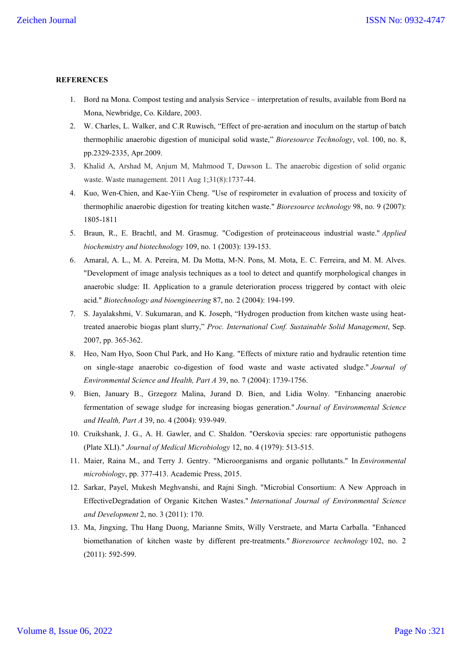#### **REFERENCES**

- 1. Bord na Mona. Compost testing and analysis Service interpretation of results, available from Bord na Mona, Newbridge, Co. Kildare, 2003.
- 2. W. Charles, L. Walker, and C.R Ruwisch, "Effect of pre-aeration and inoculum on the startup of batch thermophilic anaerobic digestion of municipal solid waste," *Bioresource Technology*, vol. 100, no. 8, pp.2329-2335, Apr.2009.
- 3. Khalid A, Arshad M, Anjum M, Mahmood T, Dawson L. The anaerobic digestion of solid organic waste. Waste management. 2011 Aug 1;31(8):1737-44.
- 4. Kuo, Wen-Chien, and Kae-Yiin Cheng. "Use of respirometer in evaluation of process and toxicity of thermophilic anaerobic digestion for treating kitchen waste." *Bioresource technology* 98, no. 9 (2007): 1805-1811
- 5. Braun, R., E. Brachtl, and M. Grasmug. "Codigestion of proteinaceous industrial waste." *Applied biochemistry and biotechnology* 109, no. 1 (2003): 139-153.
- 6. Amaral, A. L., M. A. Pereira, M. Da Motta, M‐N. Pons, M. Mota, E. C. Ferreira, and M. M. Alves. "Development of image analysis techniques as a tool to detect and quantify morphological changes in anaerobic sludge: II. Application to a granule deterioration process triggered by contact with oleic acid." *Biotechnology and bioengineering* 87, no. 2 (2004): 194-199.
- 7. S. Jayalakshmi, V. Sukumaran, and K. Joseph, "Hydrogen production from kitchen waste using heattreated anaerobic biogas plant slurry," *Proc. International Conf. Sustainable Solid Management*, Sep. 2007, pp. 365-362.
- 8. Heo, Nam Hyo, Soon Chul Park, and Ho Kang. "Effects of mixture ratio and hydraulic retention time on single-stage anaerobic co-digestion of food waste and waste activated sludge." *Journal of Environmental Science and Health, Part A* 39, no. 7 (2004): 1739-1756.
- 9. Bien, January B., Grzegorz Malina, Jurand D. Bien, and Lidia Wolny. "Enhancing anaerobic fermentation of sewage sludge for increasing biogas generation." *Journal of Environmental Science and Health, Part A* 39, no. 4 (2004): 939-949.
- 10. Cruikshank, J. G., A. H. Gawler, and C. Shaldon. "Oerskovia species: rare opportunistic pathogens (Plate XLI)." *Journal of Medical Microbiology* 12, no. 4 (1979): 513-515.
- 11. Maier, Raina M., and Terry J. Gentry. "Microorganisms and organic pollutants." In *Environmental microbiology*, pp. 377-413. Academic Press, 2015.
- 12. Sarkar, Payel, Mukesh Meghvanshi, and Rajni Singh. "Microbial Consortium: A New Approach in EffectiveDegradation of Organic Kitchen Wastes." *International Journal of Environmental Science and Development* 2, no. 3 (2011): 170.
- 13. Ma, Jingxing, Thu Hang Duong, Marianne Smits, Willy Verstraete, and Marta Carballa. "Enhanced biomethanation of kitchen waste by different pre-treatments." *Bioresource technology* 102, no. 2 (2011): 592-599.